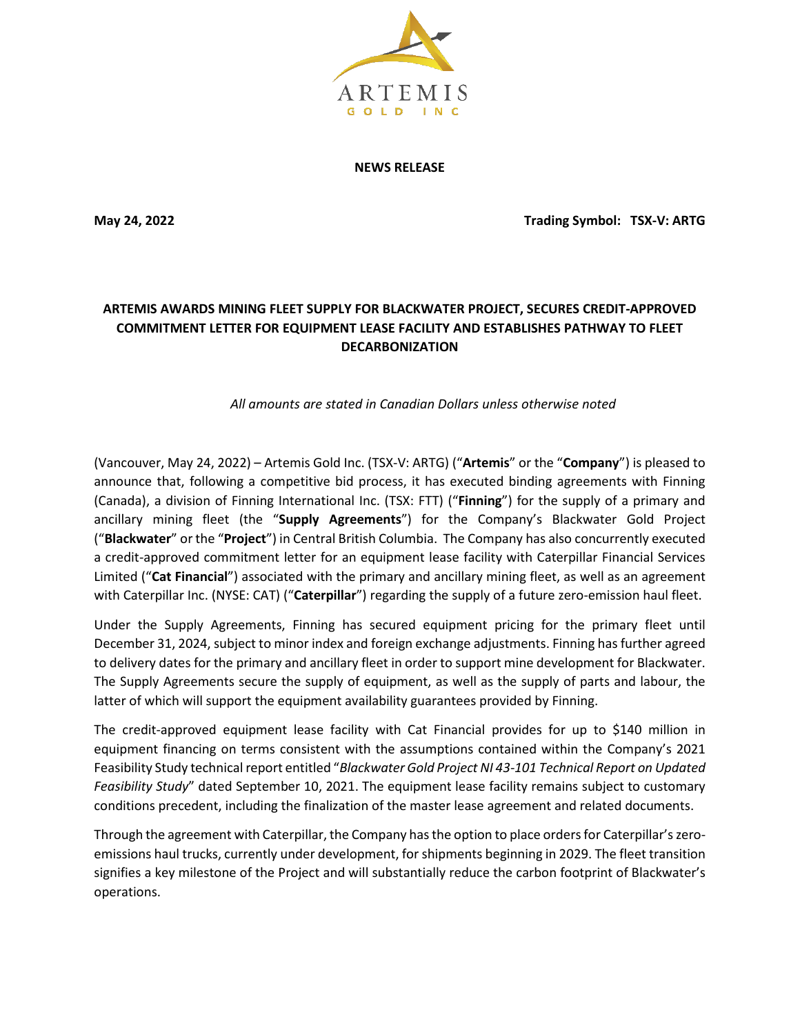

**NEWS RELEASE**

**May 24, 2022 Trading Symbol: TSX-V: ARTG**

## **ARTEMIS AWARDS MINING FLEET SUPPLY FOR BLACKWATER PROJECT, SECURES CREDIT-APPROVED COMMITMENT LETTER FOR EQUIPMENT LEASE FACILITY AND ESTABLISHES PATHWAY TO FLEET DECARBONIZATION**

*All amounts are stated in Canadian Dollars unless otherwise noted*

(Vancouver, May 24, 2022) – Artemis Gold Inc. (TSX-V: ARTG) ("**Artemis**" or the "**Company**") is pleased to announce that, following a competitive bid process, it has executed binding agreements with Finning (Canada), a division of Finning International Inc. (TSX: FTT) ("**Finning**") for the supply of a primary and ancillary mining fleet (the "**Supply Agreements**") for the Company's Blackwater Gold Project ("**Blackwater**" or the "**Project**") in Central British Columbia. The Company has also concurrently executed a credit-approved commitment letter for an equipment lease facility with Caterpillar Financial Services Limited ("**Cat Financial**") associated with the primary and ancillary mining fleet, as well as an agreement with Caterpillar Inc. (NYSE: CAT) ("**Caterpillar**") regarding the supply of a future zero-emission haul fleet.

Under the Supply Agreements, Finning has secured equipment pricing for the primary fleet until December 31, 2024, subject to minor index and foreign exchange adjustments. Finning has further agreed to delivery dates for the primary and ancillary fleet in order to support mine development for Blackwater. The Supply Agreements secure the supply of equipment, as well as the supply of parts and labour, the latter of which will support the equipment availability guarantees provided by Finning.

The credit-approved equipment lease facility with Cat Financial provides for up to \$140 million in equipment financing on terms consistent with the assumptions contained within the Company's 2021 Feasibility Study technical report entitled "*Blackwater Gold Project NI 43-101 Technical Report on Updated Feasibility Study*" dated September 10, 2021. The equipment lease facility remains subject to customary conditions precedent, including the finalization of the master lease agreement and related documents.

Through the agreement with Caterpillar, the Company hasthe option to place orders for Caterpillar's zeroemissions haul trucks, currently under development, for shipments beginning in 2029. The fleet transition signifies a key milestone of the Project and will substantially reduce the carbon footprint of Blackwater's operations.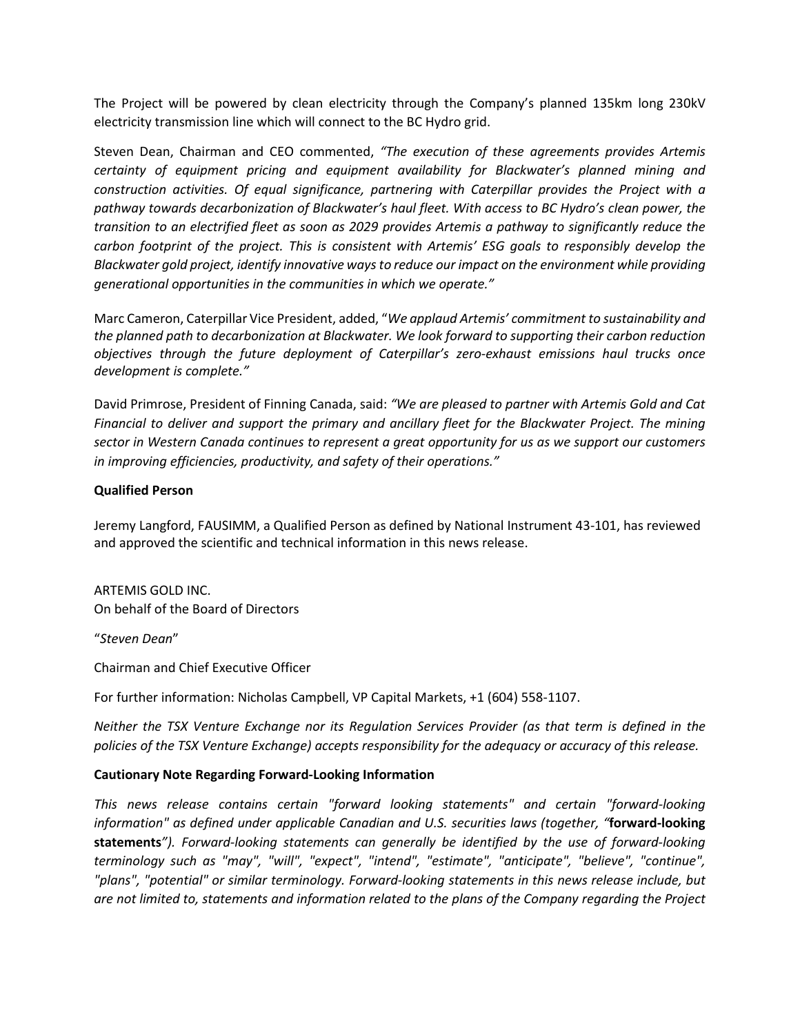The Project will be powered by clean electricity through the Company's planned 135km long 230kV electricity transmission line which will connect to the BC Hydro grid.

Steven Dean, Chairman and CEO commented, *"The execution of these agreements provides Artemis certainty of equipment pricing and equipment availability for Blackwater's planned mining and construction activities. Of equal significance, partnering with Caterpillar provides the Project with a pathway towards decarbonization of Blackwater's haul fleet. With access to BC Hydro's clean power, the transition to an electrified fleet as soon as 2029 provides Artemis a pathway to significantly reduce the carbon footprint of the project. This is consistent with Artemis' ESG goals to responsibly develop the Blackwater gold project, identify innovative ways to reduce our impact on the environment while providing generational opportunities in the communities in which we operate."*

Marc Cameron, Caterpillar Vice President, added, "*We applaud Artemis' commitment to sustainability and the planned path to decarbonization at Blackwater. We look forward to supporting their carbon reduction objectives through the future deployment of Caterpillar's zero-exhaust emissions haul trucks once development is complete."*

David Primrose, President of Finning Canada, said: *"We are pleased to partner with Artemis Gold and Cat Financial to deliver and support the primary and ancillary fleet for the Blackwater Project. The mining sector in Western Canada continues to represent a great opportunity for us as we support our customers in improving efficiencies, productivity, and safety of their operations."*

## **Qualified Person**

Jeremy Langford, FAUSIMM, a Qualified Person as defined by National Instrument 43-101, has reviewed and approved the scientific and technical information in this news release.

ARTEMIS GOLD INC. On behalf of the Board of Directors

"*Steven Dean*"

Chairman and Chief Executive Officer

For further information: Nicholas Campbell, VP Capital Markets, +1 (604) 558-1107.

*Neither the TSX Venture Exchange nor its Regulation Services Provider (as that term is defined in the policies of the TSX Venture Exchange) accepts responsibility for the adequacy or accuracy of this release.*

## **Cautionary Note Regarding Forward-Looking Information**

*This news release contains certain "forward looking statements" and certain "forward-looking information" as defined under applicable Canadian and U.S. securities laws (together, "***forward-looking statements***"). Forward-looking statements can generally be identified by the use of forward-looking terminology such as "may", "will", "expect", "intend", "estimate", "anticipate", "believe", "continue", "plans", "potential" or similar terminology. Forward-looking statements in this news release include, but are not limited to, statements and information related to the plans of the Company regarding the Project*